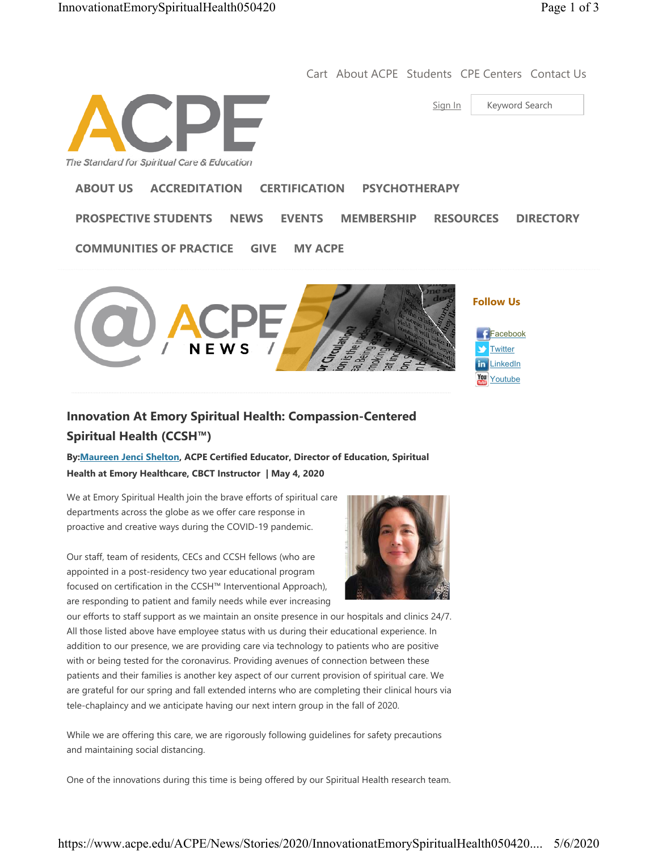Cart About ACPE Students CPE Centers Contact Us

Sign In | Keyword Search

The Standard for Spiritual Care & Education

## **ABOUT US ACCREDITATION CERTIFICATION PSYCHOTHERAPY**

**PROSPECTIVE STUDENTS NEWS EVENTS MEMBERSHIP RESOURCES DIRECTORY**

**COMMUNITIES OF PRACTICE GIVE MY ACPE**



## **Innovation At Emory Spiritual Health: Compassion-Centered Spiritual Health (CCSH™)**

**By:Maureen Jenci Shelton, ACPE Certified Educator, Director of Education, Spiritual Health at Emory Healthcare, CBCT Instructor | May 4, 2020**

We at Emory Spiritual Health join the brave efforts of spiritual care departments across the globe as we offer care response in proactive and creative ways during the COVID-19 pandemic.

Our staff, team of residents, CECs and CCSH fellows (who are appointed in a post-residency two year educational program focused on certification in the CCSH™ Interventional Approach), are responding to patient and family needs while ever increasing



our efforts to staff support as we maintain an onsite presence in our hospitals and clinics 24/7. All those listed above have employee status with us during their educational experience. In addition to our presence, we are providing care via technology to patients who are positive with or being tested for the coronavirus. Providing avenues of connection between these patients and their families is another key aspect of our current provision of spiritual care. We are grateful for our spring and fall extended interns who are completing their clinical hours via tele-chaplaincy and we anticipate having our next intern group in the fall of 2020.

While we are offering this care, we are rigorously following guidelines for safety precautions and maintaining social distancing.

One of the innovations during this time is being offered by our Spiritual Health research team.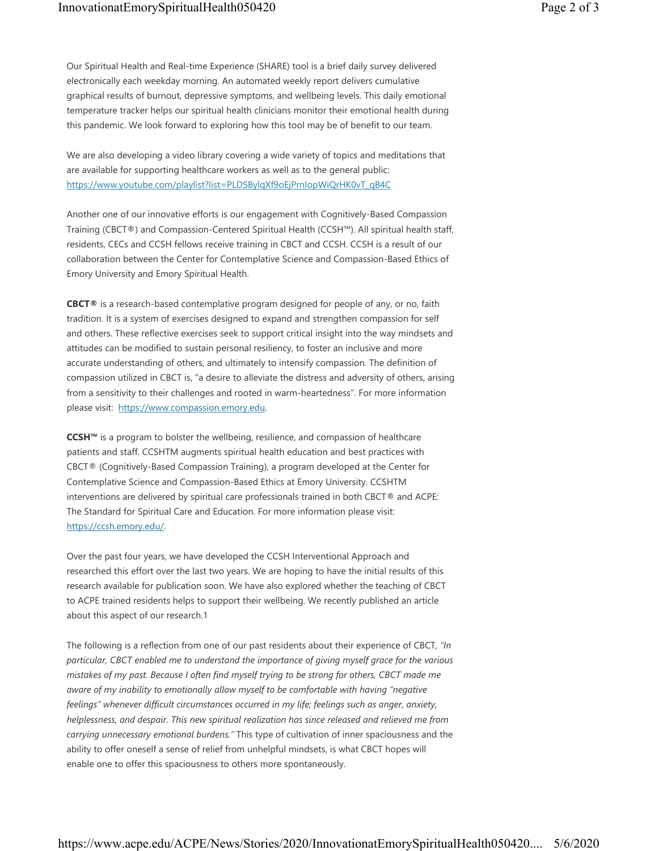Our Spiritual Health and Real-time Experience (SHARE) tool is a brief daily survey delivered electronically each weekday morning. An automated weekly report delivers cumulative graphical results of burnout, depressive symptoms, and wellbeing levels. This daily emotional temperature tracker helps our spiritual health clinicians monitor their emotional health during this pandemic. We look forward to exploring how this tool may be of benefit to our team.

We are also developing a video library covering a wide variety of topics and meditations that are available for supporting healthcare workers as well as to the general public: https://www.youtube.com/playlist?list=PLDSBylqXf9oEjPrnIopWiQrHK0vT\_qB4C

Another one of our innovative efforts is our engagement with Cognitively-Based Compassion Training (CBCT®) and Compassion-Centered Spiritual Health (CCSH™). All spiritual health staff, residents, CECs and CCSH fellows receive training in CBCT and CCSH. CCSH is a result of our collaboration between the Center for Contemplative Science and Compassion-Based Ethics of Emory University and Emory Spiritual Health.

**CBCT®** is a research-based contemplative program designed for people of any, or no, faith tradition. It is a system of exercises designed to expand and strengthen compassion for self and others. These reflective exercises seek to support critical insight into the way mindsets and attitudes can be modified to sustain personal resiliency, to foster an inclusive and more accurate understanding of others, and ultimately to intensify compassion. The definition of compassion utilized in CBCT is, "a desire to alleviate the distress and adversity of others, arising from a sensitivity to their challenges and rooted in warm-heartedness". For more information please visit: https://www.compassion.emory.edu.

**CCSH™** is a program to bolster the wellbeing, resilience, and compassion of healthcare patients and staff. CCSHTM augments spiritual health education and best practices with CBCT® (Cognitively-Based Compassion Training), a program developed at the Center for Contemplative Science and Compassion-Based Ethics at Emory University. CCSHTM interventions are delivered by spiritual care professionals trained in both CBCT® and ACPE: The Standard for Spiritual Care and Education. For more information please visit: https://ccsh.emory.edu/.

Over the past four years, we have developed the CCSH Interventional Approach and researched this effort over the last two years. We are hoping to have the initial results of this research available for publication soon. We have also explored whether the teaching of CBCT to ACPE trained residents helps to support their wellbeing. We recently published an article about this aspect of our research.1

The following is a reflection from one of our past residents about their experience of CBCT, *"In particular, CBCT enabled me to understand the importance of giving myself grace for the various mistakes of my past. Because I often find myself trying to be strong for others, CBCT made me aware of my inability to emotionally allow myself to be comfortable with having "negative feelings" whenever difficult circumstances occurred in my life; feelings such as anger, anxiety, helplessness, and despair. This new spiritual realization has since released and relieved me from carrying unnecessary emotional burdens."* This type of cultivation of inner spaciousness and the ability to offer oneself a sense of relief from unhelpful mindsets, is what CBCT hopes will enable one to offer this spaciousness to others more spontaneously.